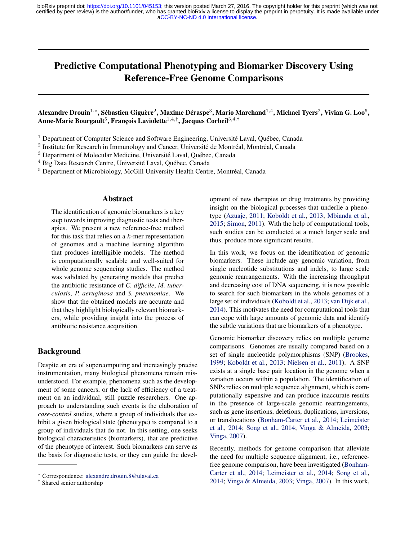# Predictive Computational Phenotyping and Biomarker Discovery Using Reference-Free Genome Comparisons

# Alexandre Drouin $^{1,*}$ , Sébastien Giguère $^2$ , Maxime Déraspe $^3$ , Mario Marchand $^{1,4}$ , Michael Tyers $^2$ , Vivian G. Loo $^5$ , Anne-Marie Bourgault $^5$ , François Laviolette $^{1,4,\dagger}$ , Jacques Corbeil $^{3,4,\dagger}$

 $1$  Department of Computer Science and Software Engineering, Université Laval, Québec, Canada

<sup>2</sup> Institute for Research in Immunology and Cancer, Université de Montréal, Montréal, Canada

 $3$  Department of Molecular Medicine, Université Laval, Ouébec, Canada

 $4$  Big Data Research Centre, Université Laval, Québec, Canada

<sup>5</sup> Department of Microbiology, McGill University Health Centre, Montréal, Canada

# Abstract

The identification of genomic biomarkers is a key step towards improving diagnostic tests and therapies. We present a new reference-free method for this task that relies on a  $k$ -mer representation of genomes and a machine learning algorithm that produces intelligible models. The method is computationally scalable and well-suited for whole genome sequencing studies. The method was validated by generating models that predict the antibiotic resistance of *C. difficile*, *M. tuberculosis*, *P. aeruginosa* and *S. pneumoniae*. We show that the obtained models are accurate and that they highlight biologically relevant biomarkers, while providing insight into the process of antibiotic resistance acquisition.

# Background

Despite an era of supercomputing and increasingly precise instrumentation, many biological phenomena remain misunderstood. For example, phenomena such as the development of some cancers, or the lack of efficiency of a treatment on an individual, still puzzle researchers. One approach to understanding such events is the elaboration of *case-control* studies, where a group of individuals that exhibit a given biological state (phenotype) is compared to a group of individuals that do not. In this setting, one seeks biological characteristics (biomarkers), that are predictive of the phenotype of interest. Such biomarkers can serve as the basis for diagnostic tests, or they can guide the development of new therapies or drug treatments by providing insight on the biological processes that underlie a phenotype [\(Azuaje,](#page-11-0) [2011;](#page-11-0) [Koboldt et al.,](#page-12-0) [2013;](#page-12-0) [Mbianda et al.,](#page-12-0) [2015;](#page-12-0) [Simon,](#page-13-0) [2011\)](#page-13-0). With the help of computational tools, such studies can be conducted at a much larger scale and thus, produce more significant results.

In this work, we focus on the identification of genomic biomarkers. These include any genomic variation, from single nucleotide substitutions and indels, to large scale genomic rearrangements. With the increasing throughput and decreasing cost of DNA sequencing, it is now possible to search for such biomarkers in the whole genomes of a large set of individuals [\(Koboldt et al.,](#page-12-0) [2013;](#page-12-0) [van Dijk et al.,](#page-13-0) [2014\)](#page-13-0). This motivates the need for computational tools that can cope with large amounts of genomic data and identify the subtle variations that are biomarkers of a phenotype.

Genomic biomarker discovery relies on multiple genome comparisons. Genomes are usually compared based on a set of single nucleotide polymorphisms (SNP) [\(Brookes,](#page-11-0) [1999;](#page-11-0) [Koboldt et al.,](#page-12-0) [2013;](#page-12-0) [Nielsen et al.,](#page-12-0) [2011\)](#page-12-0). A SNP exists at a single base pair location in the genome when a variation occurs within a population. The identification of SNPs relies on multiple sequence alignment, which is computationally expensive and can produce inaccurate results in the presence of large-scale genomic rearrangements, such as gene insertions, deletions, duplications, inversions, or translocations [\(Bonham-Carter et al.,](#page-11-0) [2014;](#page-11-0) [Leimeister](#page-12-0) [et al.,](#page-12-0) [2014;](#page-12-0) [Song et al.,](#page-13-0) [2014;](#page-13-0) [Vinga & Almeida,](#page-13-0) [2003;](#page-13-0) [Vinga,](#page-13-0) [2007\)](#page-13-0).

Recently, methods for genome comparison that alleviate the need for multiple sequence alignment, i.e., referencefree genome comparison, have been investigated [\(Bonham-](#page-11-0)[Carter et al.,](#page-11-0) [2014;](#page-11-0) [Leimeister et al.,](#page-12-0) [2014;](#page-12-0) [Song et al.,](#page-13-0) [2014;](#page-13-0) [Vinga & Almeida,](#page-13-0) [2003;](#page-13-0) [Vinga,](#page-13-0) [2007\)](#page-13-0). In this work,

<sup>∗</sup> Correspondence: [alexandre.drouin.8@ulaval.ca](mailto:alexandre.drouin.8@ulaval.ca)

<sup>†</sup> Shared senior authorship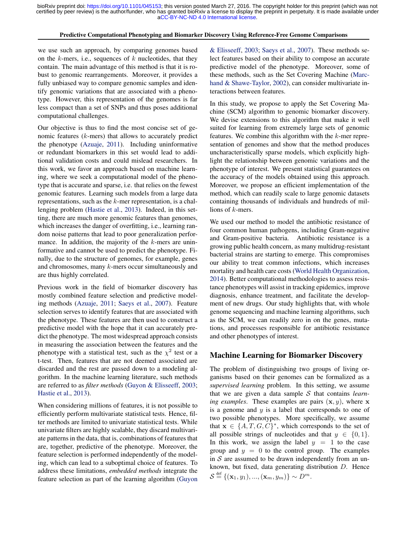### Predictive Computational Phenotyping and Biomarker Discovery Using Reference-Free Genome Comparisons

we use such an approach, by comparing genomes based on the  $k$ -mers, i.e., sequences of  $k$  nucleotides, that they contain. The main advantage of this method is that it is robust to genomic rearrangements. Moreover, it provides a fully unbiased way to compare genomic samples and identify genomic variations that are associated with a phenotype. However, this representation of the genomes is far less compact than a set of SNPs and thus poses additional computational challenges.

Our objective is thus to find the most concise set of genomic features (k-mers) that allows to accurately predict the phenotype [\(Azuaje,](#page-11-0) [2011\)](#page-11-0). Including uninformative or redundant biomarkers in this set would lead to additional validation costs and could mislead researchers. In this work, we favor an approach based on machine learning, where we seek a computational model of the phenotype that is accurate and sparse, i.e. that relies on the fewest genomic features. Learning such models from a large data representations, such as the  $k$ -mer representation, is a challenging problem [\(Hastie et al.,](#page-12-0) [2013\)](#page-12-0). Indeed, in this setting, there are much more genomic features than genomes, which increases the danger of overfitting, i.e., learning random noise patterns that lead to poor generalization performance. In addition, the majority of the  $k$ -mers are uninformative and cannot be used to predict the phenotype. Finally, due to the structure of genomes, for example, genes and chromosomes, many k-mers occur simultaneously and are thus highly correlated.

Previous work in the field of biomarker discovery has mostly combined feature selection and predictive modeling methods [\(Azuaje,](#page-11-0) [2011;](#page-11-0) [Saeys et al.,](#page-13-0) [2007\)](#page-13-0). Feature selection serves to identify features that are associated with the phenotype. These features are then used to construct a predictive model with the hope that it can accurately predict the phenotype. The most widespread approach consists in measuring the association between the features and the phenotype with a statistical test, such as the  $\chi^2$  test or a t-test. Then, features that are not deemed associated are discarded and the rest are passed down to a modeling algorithm. In the machine learning literature, such methods are referred to as *filter methods* [\(Guyon & Elisseeff,](#page-12-0) [2003;](#page-12-0) [Hastie et al.,](#page-12-0) [2013\)](#page-12-0).

When considering millions of features, it is not possible to efficiently perform multivariate statistical tests. Hence, filter methods are limited to univariate statistical tests. While univariate filters are highly scalable, they discard multivariate patterns in the data, that is, combinations of features that are, together, predictive of the phenotype. Moreover, the feature selection is performed independently of the modeling, which can lead to a suboptimal choice of features. To address these limitations, *embedded methods* integrate the feature selection as part of the learning algorithm [\(Guyon](#page-12-0)

[& Elisseeff,](#page-12-0) [2003;](#page-12-0) [Saeys et al.,](#page-13-0) [2007\)](#page-13-0). These methods select features based on their ability to compose an accurate predictive model of the phenotype. Moreover, some of these methods, such as the Set Covering Machine [\(Marc](#page-12-0)[hand & Shawe-Taylor,](#page-12-0) [2002\)](#page-12-0), can consider multivariate interactions between features.

In this study, we propose to apply the Set Covering Machine (SCM) algorithm to genomic biomarker discovery. We devise extensions to this algorithm that make it well suited for learning from extremely large sets of genomic features. We combine this algorithm with the k-mer representation of genomes and show that the method produces uncharacteristically sparse models, which explicitly highlight the relationship between genomic variations and the phenotype of interest. We present statistical guarantees on the accuracy of the models obtained using this approach. Moreover, we propose an efficient implementation of the method, which can readily scale to large genomic datasets containing thousands of individuals and hundreds of millions of k-mers.

We used our method to model the antibiotic resistance of four common human pathogens, including Gram-negative and Gram-positive bacteria. Antibiotic resistance is a growing public health concern, as many multidrug-resistant bacterial strains are starting to emerge. This compromises our ability to treat common infections, which increases mortality and health care costs [\(World Health Organization,](#page-13-0) [2014\)](#page-13-0). Better computational methodologies to assess resistance phenotypes will assist in tracking epidemics, improve diagnosis, enhance treatment, and facilitate the development of new drugs. Our study highlights that, with whole genome sequencing and machine learning algorithms, such as the SCM, we can readily zero in on the genes, mutations, and processes responsible for antibiotic resistance and other phenotypes of interest.

### Machine Learning for Biomarker Discovery

The problem of distinguishing two groups of living organisms based on their genomes can be formalized as a *supervised learning* problem. In this setting, we assume that we are given a data sample S that contains *learning examples*. These examples are pairs  $(x, y)$ , where x is a genome and  $y$  is a label that corresponds to one of two possible phenotypes. More specifically, we assume that  $\mathbf{x} \in \{A, T, G, C\}^*$ , which corresponds to the set of all possible strings of nucleotides and that  $y \in \{0, 1\}$ . In this work, we assign the label  $y = 1$  to the case group and  $y = 0$  to the control group. The examples in  $S$  are assumed to be drawn independently from an unknown, but fixed, data generating distribution D. Hence  $S \stackrel{\text{def}}{=} \{({\bf x}_1, y_1), ..., ({\bf x}_m, y_m)\} \sim D^m.$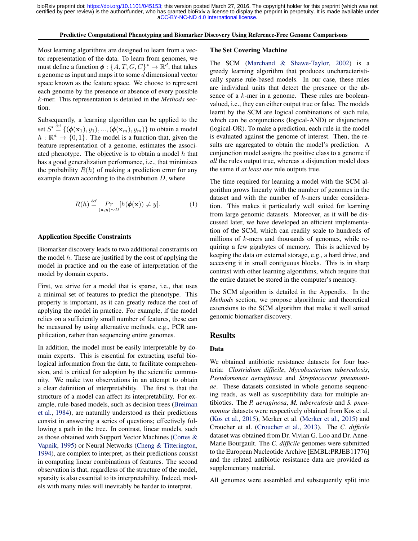#### Predictive Computational Phenotyping and Biomarker Discovery Using Reference-Free Genome Comparisons

Most learning algorithms are designed to learn from a vector representation of the data. To learn from genomes, we must define a function  $\phi: \{A, T, G, C\}^* \to \mathbb{R}^d$ , that takes a genome as input and maps it to some d dimensional vector space known as the feature space. We choose to represent each genome by the presence or absence of every possible k-mer. This representation is detailed in the *Methods* section.

Subsequently, a learning algorithm can be applied to the set  $S' \stackrel{\text{def}}{=} \{ (\phi(\mathbf{x}_1), y_1), ..., (\phi(\mathbf{x}_m), y_m) \}$  to obtain a model  $h : \mathbb{R}^d \to \{0, 1\}$ . The model is a function that, given the feature representation of a genome, estimates the associated phenotype. The objective is to obtain a model  $h$  that has a good generalization performance, i.e., that minimizes the probability  $R(h)$  of making a prediction error for any example drawn according to the distribution  $D$ , where

$$
R(h) \stackrel{\text{def}}{=} \Pr_{(\mathbf{x}, y) \sim D} [h(\boldsymbol{\phi}(\mathbf{x})) \neq y]. \tag{1}
$$

### Application Specific Constraints

Biomarker discovery leads to two additional constraints on the model  $h$ . These are justified by the cost of applying the model in practice and on the ease of interpretation of the model by domain experts.

First, we strive for a model that is sparse, i.e., that uses a minimal set of features to predict the phenotype. This property is important, as it can greatly reduce the cost of applying the model in practice. For example, if the model relies on a sufficiently small number of features, these can be measured by using alternative methods, e.g., PCR amplification, rather than sequencing entire genomes.

In addition, the model must be easily interpretable by domain experts. This is essential for extracting useful biological information from the data, to facilitate comprehension, and is critical for adoption by the scientific community. We make two observations in an attempt to obtain a clear definition of interpretability. The first is that the structure of a model can affect its interpretability. For example, rule-based models, such as decision trees [\(Breiman](#page-11-0) [et al.,](#page-11-0) [1984\)](#page-11-0), are naturally understood as their predictions consist in answering a series of questions; effectively following a path in the tree. In contrast, linear models, such as those obtained with Support Vector Machines [\(Cortes &](#page-11-0) [Vapnik,](#page-11-0) [1995\)](#page-11-0) or Neural Networks [\(Cheng & Titterington,](#page-11-0) [1994\)](#page-11-0), are complex to interpret, as their predictions consist in computing linear combinations of features. The second observation is that, regardless of the structure of the model, sparsity is also essential to its interpretability. Indeed, models with many rules will inevitably be harder to interpret.

#### The Set Covering Machine

The SCM [\(Marchand & Shawe-Taylor,](#page-12-0) [2002\)](#page-12-0) is a greedy learning algorithm that produces uncharacteristically sparse rule-based models. In our case, these rules are individual units that detect the presence or the absence of a k-mer in a genome. These rules are booleanvalued, i.e., they can either output true or false. The models learnt by the SCM are logical combinations of such rule, which can be conjunctions (logical-AND) or disjunctions (logical-OR). To make a prediction, each rule in the model is evaluated against the genome of interest. Then, the results are aggregated to obtain the model's prediction. A conjunction model assigns the positive class to a genome if *all* the rules output true, whereas a disjunction model does the same if *at least one* rule outputs true.

The time required for learning a model with the SCM algorithm grows linearly with the number of genomes in the dataset and with the number of k-mers under consideration. This makes it particularly well suited for learning from large genomic datasets. Moreover, as it will be discussed later, we have developed an efficient implementation of the SCM, which can readily scale to hundreds of millions of  $k$ -mers and thousands of genomes, while requiring a few gigabytes of memory. This is achieved by keeping the data on external storage, e.g., a hard drive, and accessing it in small contiguous blocks. This is in sharp contrast with other learning algorithms, which require that the entire dataset be stored in the computer's memory.

The SCM algorithm is detailed in the Appendix. In the *Methods* section, we propose algorithmic and theoretical extensions to the SCM algorithm that make it well suited genomic biomarker discovery.

### Results

# Data

We obtained antibiotic resistance datasets for four bacteria: *Clostridium difficile*, *Mycobacterium tuberculosis*, *Pseudomonas aeruginosa* and *Streptococcus pneumoniae*. These datasets consisted in whole genome sequencing reads, as well as susceptibility data for multiple antibiotics. The *P. aeruginosa*, *M. tuberculosis* and *S. pneumoniae* datasets were respectively obtained from Kos et al. [\(Kos et al.,](#page-12-0) [2015\)](#page-12-0), Merker et al. [\(Merker et al.,](#page-12-0) [2015\)](#page-12-0) and Croucher et al. [\(Croucher et al.,](#page-11-0) [2013\)](#page-11-0). The *C. difficile* dataset was obtained from Dr. Vivian G. Loo and Dr. Anne-Marie Bourgault. The *C. difficile* genomes were submitted to the European Nucleotide Archive [EMBL:PRJEB11776] and the related antibiotic resistance data are provided as supplementary material.

All genomes were assembled and subsequently split into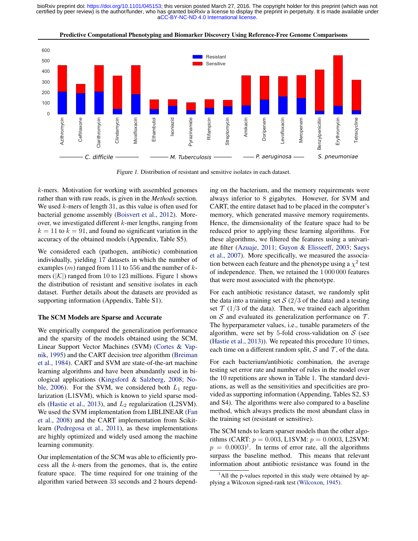

Predictive Computational Phenotyping and Biomarker Discovery Using Reference-Free Genome Comparisons

Figure 1. Distribution of resistant and sensitive isolates in each dataset.

k-mers. Motivation for working with assembled genomes rather than with raw reads, is given in the *Methods* section. We used  $k$ -mers of length 31, as this value is often used for bacterial genome assembly [\(Boisvert et al.,](#page-11-0) [2012\)](#page-11-0). Moreover, we investigated different k-mer lengths, ranging from  $k = 11$  to  $k = 91$ , and found no significant variation in the accuracy of the obtained models (Appendix, Table S5).

We considered each (pathogen, antibiotic) combination individually, yielding 17 datasets in which the number of examples  $(m)$  ranged from 111 to 556 and the number of kmers ( $|\mathcal{K}|$ ) ranged from 10 to 123 millions. Figure 1 shows the distribution of resistant and sensitive isolates in each dataset. Further details about the datasets are provided as supporting information (Appendix, Table S1).

### The SCM Models are Sparse and Accurate

We empirically compared the generalization performance and the sparsity of the models obtained using the SCM, Linear Support Vector Machines (SVM) [\(Cortes & Vap](#page-11-0)[nik,](#page-11-0) [1995\)](#page-11-0) and the CART decision tree algorithm [\(Breiman](#page-11-0) [et al.,](#page-11-0) [1984\)](#page-11-0). CART and SVM are state-of-the-art machine learning algorithms and have been abundantly used in biological applications [\(Kingsford & Salzberg,](#page-12-0) [2008;](#page-12-0) [No](#page-12-0)[ble,](#page-12-0) [2006\)](#page-12-0). For the SVM, we considered both  $L_1$  regularization (L1SVM), which is known to yield sparse mod-els [\(Hastie et al.,](#page-12-0) [2013\)](#page-12-0), and  $L_2$  regularization (L2SVM). We used the SVM implementation from LIBLINEAR [\(Fan](#page-11-0) [et al.,](#page-11-0) [2008\)](#page-11-0) and the CART implementation from Scikitlearn [\(Pedregosa et al.,](#page-12-0) [2011\)](#page-12-0), as these implementations are highly optimized and widely used among the machine learning community.

Our implementation of the SCM was able to efficiently process all the k-mers from the genomes, that is, the entire feature space. The time required for one training of the algorithm varied between 33 seconds and 2 hours depending on the bacterium, and the memory requirements were always inferior to 8 gigabytes. However, for SVM and CART, the entire dataset had to be placed in the computer's memory, which generated massive memory requirements. Hence, the dimensionality of the feature space had to be reduced prior to applying these learning algorithms. For these algorithms, we filtered the features using a univariate filter [\(Azuaje,](#page-11-0) [2011;](#page-11-0) [Guyon & Elisseeff,](#page-12-0) [2003;](#page-12-0) [Saeys](#page-13-0) [et al.,](#page-13-0) [2007\)](#page-13-0). More specifically, we measured the association between each feature and the phenotype using a  $\chi^2$  test of independence. Then, we retained the 1 000 000 features that were most associated with the phenotype.

For each antibiotic resistance dataset, we randomly split the data into a training set  $S(2/3)$  of the data) and a testing set  $\mathcal{T}$  (1/3 of the data). Then, we trained each algorithm on S and evaluated its generalization performance on  $\mathcal{T}$ . The hyperparameter values, i.e., tunable parameters of the algorithm, were set by 5-fold cross-validation on  $S$  (see [\(Hastie et al.,](#page-12-0) [2013\)](#page-12-0)). We repeated this procedure 10 times, each time on a different random split,  $S$  and  $T$ , of the data.

For each bacterium/antibiotic combination, the average testing set error rate and number of rules in the model over the 10 repetitions are shown in Table [1.](#page-4-0) The standard deviations, as well as the sensitivities and specificities are provided as supporting information (Appending, Tables S2, S3 and S4). The algorithms were also compared to a baseline method, which always predicts the most abundant class in the training set (resistant or sensitive).

The SCM tends to learn sparser models than the other algorithms (CART:  $p = 0.003$ , L1SVM:  $p = 0.0003$ , L2SVM:  $p = 0.0003$ <sup>1</sup>. In terms of error rate, all the algorithms surpass the baseline method. This means that relevant information about antibiotic resistance was found in the

 $1$ All the p-values reported in this study were obtained by applying a Wilcoxon signed-rank test [\(Wilcoxon,](#page-13-0) [1945\)](#page-13-0).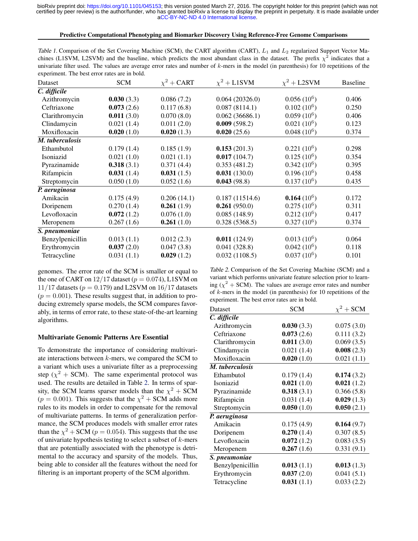### Predictive Computational Phenotyping and Biomarker Discovery Using Reference-Free Genome Comparisons

<span id="page-4-0"></span>

| Table 1. Comparison of the Set Covering Machine (SCM), the CART algorithm (CART), $L_1$ and $L_2$ regularized Support Vector Ma-           |
|--------------------------------------------------------------------------------------------------------------------------------------------|
| chines (L1SVM, L2SVM) and the baseline, which predicts the most abundant class in the dataset. The prefix $\chi^2$ indicates that a        |
| univariate filter used. The values are average error rates and number of $k$ -mers in the model (in parenthesis) for 10 repetitions of the |
| experiment. The best error rates are in bold.                                                                                              |

| Dataset          | <b>SCM</b> | $\chi^2$ + CART | $\chi^2$ + L1SVM | $\chi^2$ + L2SVM | <b>Baseline</b> |  |
|------------------|------------|-----------------|------------------|------------------|-----------------|--|
| C. difficile     |            |                 |                  |                  |                 |  |
| Azithromycin     | 0.030(3.3) | 0.086(7.2)      | 0.064(20326.0)   | $0.056(10^6)$    | 0.406           |  |
| Ceftriaxone      | 0.073(2.6) | 0.117(6.8)      | 0.087(8114.1)    | $0.102(10^6)$    | 0.250           |  |
| Clarithromycin   | 0.011(3.0) | 0.070(8.0)      | 0.062(36686.1)   | $0.059(10^6)$    | 0.406           |  |
| Clindamycin      | 0.021(1.4) | 0.011(2.0)      | 0.009(598.2)     | $0.021(10^6)$    | 0.123           |  |
| Moxifloxacin     | 0.020(1.0) | 0.020(1.3)      | 0.020(25.6)      | $0.048(10^6)$    | 0.374           |  |
| M. tuberculosis  |            |                 |                  |                  |                 |  |
| Ethambutol       | 0.179(1.4) | 0.185(1.9)      | 0.153(201.3)     | $0.221(10^6)$    | 0.298           |  |
| Isoniazid        | 0.021(1.0) | 0.021(1.1)      | 0.017(104.7)     | $0.125(10^6)$    | 0.354           |  |
| Pyrazinamide     | 0.318(3.1) | 0.371(4.4)      | 0.353(481.2)     | $0.342(10^6)$    | 0.395           |  |
| Rifampicin       | 0.031(1.4) | 0.031(1.5)      | 0.031(130.0)     | $0.196(10^6)$    | 0.458           |  |
| Streptomycin     | 0.050(1.0) | 0.052(1.6)      | 0.043(98.8)      | $0.137(10^6)$    | 0.435           |  |
| P. aeruginosa    |            |                 |                  |                  |                 |  |
| Amikacin         | 0.175(4.9) | 0.206(14.1)     | 0.187(11514.6)   | 0.164 $(10^6)$   | 0.172           |  |
| Doripenem        | 0.270(1.4) | 0.261(1.9)      | 0.261(950.0)     | $0.275(10^6)$    | 0.311           |  |
| Levofloxacin     | 0.072(1.2) | 0.076(1.0)      | 0.085(148.9)     | $0.212(10^6)$    | 0.417           |  |
| Meropenem        | 0.267(1.6) | 0.261(1.0)      | 0.328(5368.5)    | $0.327(10^6)$    | 0.374           |  |
| S. pneumoniae    |            |                 |                  |                  |                 |  |
| Benzylpenicillin | 0.013(1.1) | 0.012(2.3)      | 0.011(124.9)     | $0.013(10^6)$    | 0.064           |  |
| Erythromycin     | 0.037(2.0) | 0.047(3.8)      | 0.041(328.8)     | $0.042(10^6)$    | 0.118           |  |
| Tetracycline     | 0.031(1.1) | 0.029(1.2)      | 0.032(1108.5)    | $0.037(10^6)$    | 0.101           |  |

genomes. The error rate of the SCM is smaller or equal to the one of CART on  $12/17$  dataset ( $p = 0.074$ ), L1SVM on 11/17 datasets ( $p = 0.179$ ) and L2SVM on 16/17 datasets  $(p = 0.001)$ . These results suggest that, in addition to producing extremely sparse models, the SCM compares favorably, in terms of error rate, to these state-of-the-art learning algorithms.

# Multivariate Genomic Patterns Are Essential

To demonstrate the importance of considering multivariate interactions between  $k$ -mers, we compared the SCM to a variant which uses a univariate filter as a preprocessing step ( $\chi^2$  + SCM). The same experimental protocol was used. The results are detailed in Table 2. In terms of sparsity, the SCM learns sparser models than the  $\chi^2$  + SCM  $(p = 0.001)$ . This suggests that the  $\chi^2$  + SCM adds more rules to its models in order to compensate for the removal of multivariate patterns. In terms of generalization performance, the SCM produces models with smaller error rates than the  $\chi^2$  + SCM ( $p = 0.054$ ). This suggests that the use of univariate hypothesis testing to select a subset of  $k$ -mers that are potentially associated with the phenotype is detrimental to the accuracy and sparsity of the models. Thus, being able to consider all the features without the need for filtering is an important property of the SCM algorithm.

Table 2. Comparison of the Set Covering Machine (SCM) and a variant which performs univariate feature selection prior to learning ( $\chi^2$  + SCM). The values are average error rates and number of k-mers in the model (in parenthesis) for 10 repetitions of the experiment. The best error rates are in bold.

| Dataset          | <b>SCM</b> | $\chi^2$ + SCM |  |  |
|------------------|------------|----------------|--|--|
| C. difficile     |            |                |  |  |
| Azithromycin     | 0.030(3.3) | 0.075(3.0)     |  |  |
| Ceftriaxone      | 0.073(2.6) | 0.111(3.2)     |  |  |
| Clarithromycin   | 0.011(3.0) | 0.069(3.5)     |  |  |
| Clindamycin      | 0.021(1.4) | 0.008(2.3)     |  |  |
| Moxifloxacin     | 0.020(1.0) | 0.021(1.1)     |  |  |
| M. tuberculosis  |            |                |  |  |
| Ethambutol       | 0.179(1.4) | 0.174(3.2)     |  |  |
| Isoniazid        | 0.021(1.0) | 0.021(1.2)     |  |  |
| Pyrazinamide     | 0.318(3.1) | 0.366(5.8)     |  |  |
| Rifampicin       | 0.031(1.4) | 0.029(1.3)     |  |  |
| Streptomycin     | 0.050(1.0) | 0.050(2.1)     |  |  |
| P. aeruginosa    |            |                |  |  |
| Amikacin         | 0.175(4.9) | 0.164(9.7)     |  |  |
| Doripenem        | 0.270(1.4) | 0.307(8.5)     |  |  |
| Levofloxacin     | 0.072(1.2) | 0.083(3.5)     |  |  |
| Meropenem        | 0.267(1.6) | 0.331(9.1)     |  |  |
| S. pneumoniae    |            |                |  |  |
| Benzylpenicillin | 0.013(1.1) | 0.013(1.3)     |  |  |
| Erythromycin     | 0.037(2.0) | 0.041(5.1)     |  |  |
| Tetracycline     | 0.031(1.1) | 0.033(2.2)     |  |  |
|                  |            |                |  |  |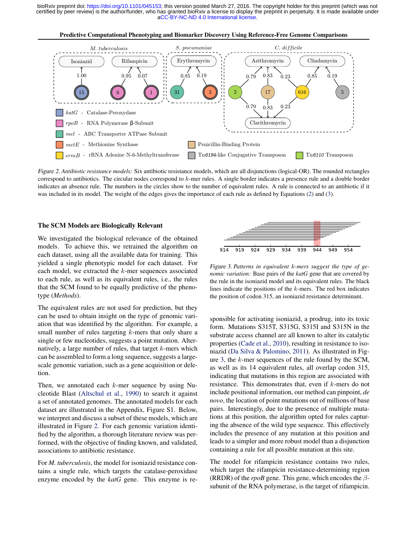

Figure 2. *Antibiotic resistance models:* Six antibiotic resistance models, which are all disjunctions (logical-OR). The rounded rectangles correspond to antibiotics. The circular nodes correspond to k-mer rules. A single border indicates a presence rule and a double border indicates an absence rule. The numbers in the circles show to the number of equivalent rules. A rule is connected to an antibiotic if it was included in its model. The weight of the edges gives the importance of each rule as defined by Equations [\(2\)](#page-9-0) and [\(3\)](#page-9-0).

### The SCM Models are Biologically Relevant

We investigated the biological relevance of the obtained models. To achieve this, we retrained the algorithm on each dataset, using all the available data for training. This yielded a single phenotypic model for each dataset. For each model, we extracted the k-mer sequences associated to each rule, as well as its equivalent rules, i.e., the rules that the SCM found to be equally predictive of the phenotype (*Methods*).

The equivalent rules are not used for prediction, but they can be used to obtain insight on the type of genomic variation that was identified by the algorithm. For example, a small number of rules targeting  $k$ -mers that only share a single or few nucleotides, suggests a point mutation. Alternatively, a large number of rules, that target k-mers which can be assembled to form a long sequence, suggests a largescale genomic variation, such as a gene acquisition or deletion.

Then, we annotated each  $k$ -mer sequence by using Nucleotide Blast [\(Altschul et al.,](#page-11-0) [1990\)](#page-11-0) to search it against a set of annotated genomes. The annotated models for each dataset are illustrated in the Appendix, Figure S1. Below, we interpret and discuss a subset of these models, which are illustrated in Figure 2. For each genomic variation identified by the algorithm, a thorough literature review was performed, with the objective of finding known, and validated, associations to antibiotic resistance.

For *M. tuberculosis*, the model for isoniazid resistance contains a single rule, which targets the catalase-peroxidase enzyme encoded by the *katG* gene. This enzyme is re-



Figure 3. *Patterns in equivalent* k*-mers suggest the type of genomic variation:* Base pairs of the *katG* gene that are covered by the rule in the isoniazid model and its equivalent rules. The black lines indicate the positions of the  $k$ -mers. The red box indicates the position of codon 315, an isoniazid resistance determinant.

sponsible for activating isoniazid, a prodrug, into its toxic form. Mutations S315T, S315G, S315I and S315N in the substrate access channel are all known to alter its catalytic properties [\(Cade et al.,](#page-11-0) [2010\)](#page-11-0), resulting in resistance to isoniazid [\(Da Silva & Palomino,](#page-11-0) [2011\)](#page-11-0). As illustrated in Figure 3, the k-mer sequences of the rule found by the SCM, as well as its 14 equivalent rules, all overlap codon 315, indicating that mutations in this region are associated with resistance. This demonstrates that, even if k-mers do not include positional information, our method can pinpoint, *de novo*, the location of point mutations out of millions of base pairs. Interestingly, due to the presence of multiple mutations at this position, the algorithm opted for rules capturing the absence of the wild type sequence. This effectively includes the presence of any mutation at this position and leads to a simpler and more robust model than a disjunction containing a rule for all possible mutation at this site.

The model for rifampicin resistance contains two rules, which target the rifampicin resistance-determining region (RRDR) of the *rpoB* gene. This gene, which encodes the  $\beta$ subunit of the RNA polymerase, is the target of rifampicin.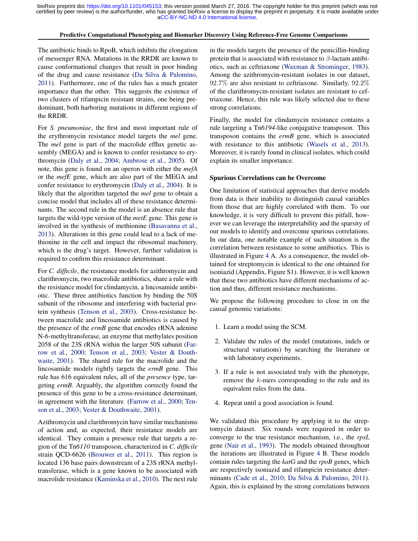#### Predictive Computational Phenotyping and Biomarker Discovery Using Reference-Free Genome Comparisons

The antibiotic binds to RpoB, which inhibits the elongation of messenger RNA. Mutations in the RRDR are known to cause conformational changes that result in poor binding of the drug and cause resistance [\(Da Silva & Palomino,](#page-11-0) [2011\)](#page-11-0). Furthermore, one of the rules has a much greater importance than the other. This suggests the existence of two clusters of rifampicin resistant strains, one being predominant, both harboring mutations in different regions of the RRDR.

For *S. pneumoniae*, the first and most important rule of the erythromycin resistance model targets the *mel* gene. The *mel* gene is part of the macrolide efflux genetic assembly (MEGA) and is known to confer resistance to erythromycin [\(Daly et al.,](#page-11-0) [2004;](#page-11-0) [Ambrose et al.,](#page-11-0) [2005\)](#page-11-0). Of note, this gene is found on an operon with either the *mefA* or the *mefE* gene, which are also part of the MEGA and confer resistance to erythromycin [\(Daly et al.,](#page-11-0) [2004\)](#page-11-0). It is likely that the algorithm targeted the *mel* gene to obtain a concise model that includes all of these resistance determinants. The second rule in the model is an absence rule that targets the wild-type version of the *metE* gene. This gene is involved in the synthesis of methionine [\(Basavanna et al.,](#page-11-0) [2013\)](#page-11-0). Alterations in this gene could lead to a lack of methionine in the cell and impact the ribosomal machinery, which is the drug's target. However, further validation is required to confirm this resistance determinant.

For *C. difficile*, the resistance models for azithromycin and clarithromycin, two macrolide antibiotics, share a rule with the resistance model for clindamycin, a lincosamide antibiotic. These three antibiotics function by binding the 50S subunit of the ribosome and interfering with bacterial protein synthesis [\(Tenson et al.,](#page-13-0) [2003\)](#page-13-0). Cross-resistance between macrolide and lincosamide antibiotics is caused by the presence of the *ermB* gene that encodes rRNA adenine N-6-methyltransferase, an enzyme that methylates position 2058 of the 23S rRNA within the larger 50S subunit [\(Far](#page-12-0)[row et al.,](#page-12-0) [2000;](#page-12-0) [Tenson et al.,](#page-13-0) [2003;](#page-13-0) [Vester & Douth](#page-13-0)[waite,](#page-13-0) [2001\)](#page-13-0). The shared rule for the macrolide and the lincosamide models rightly targets the *ermB* gene. This rule has 616 equivalent rules, all of the *presence* type, targeting *ermB*. Arguably, the algorithm correctly found the presence of this gene to be a cross-resistance determinant, in agreement with the literature [\(Farrow et al.,](#page-12-0) [2000;](#page-12-0) [Ten](#page-13-0)[son et al.,](#page-13-0) [2003;](#page-13-0) [Vester & Douthwaite,](#page-13-0) [2001\)](#page-13-0).

Azithromycin and clarithromycin have similar mechanisms of action and, as expected, their resistance models are identical. They contain a presence rule that targets a region of the Tn*6110* transposon, characterized in *C. difficile* strain QCD-6626 [\(Brouwer et al.,](#page-11-0) [2011\)](#page-11-0). This region is located 136 base pairs downstream of a 23S rRNA methyltransferase, which is a gene known to be associated with macrolide resistance [\(Kaminska et al.,](#page-12-0) [2010\)](#page-12-0). The next rule

in the models targets the presence of the penicillin-binding protein that is associated with resistance to  $\beta$ -lactam antibiotics, such as ceftriaxone [\(Waxman & Strominger,](#page-13-0) [1983\)](#page-13-0). Among the azithromycin-resistant isolates in our dataset, 92.7% are also resistant to ceftriaxone. Similarly, 92.2% of the clarithromycin-resistant isolates are resistant to ceftriaxone. Hence, this rule was likely selected due to these strong correlations.

Finally, the model for clindamycin resistance contains a rule targeting a Tn*6194*-like conjugative transposon. This transposon contains the *ermB* gene, which is associated with resistance to this antibiotic [\(Wasels et al.,](#page-13-0) [2013\)](#page-13-0). Moreover, it is rarely found in clinical isolates, which could explain its smaller importance.

#### Spurious Correlations can be Overcome

One limitation of statistical approaches that derive models from data is their inability to distinguish causal variables from those that are highly correlated with them. To our knowledge, it is very difficult to prevent this pitfall, however we can leverage the interpretability and the sparsity of our models to identify and overcome spurious correlations. In our data, one notable example of such situation is the correlation between resistance to some antibiotics. This is illustrated in Figure [4](#page-7-0) A. As a consequence, the model obtained for streptomycin is identical to the one obtained for isoniazid (Appendix, Figure S1). However, it is well known that these two antibiotics have different mechanisms of action and thus, different resistance mechanisms.

We propose the following procedure to close in on the causal genomic variations:

- 1. Learn a model using the SCM.
- 2. Validate the rules of the model (mutations, indels or structural variations) by searching the literature or with laboratory experiments.
- 3. If a rule is not associated truly with the phenotype, remove the k-mers corresponding to the rule and its equivalent rules from the data.
- 4. Repeat until a good association is found.

We validated this procedure by applying it to the streptomycin dataset. Six rounds were required in order to converge to the true resistance mechanism, i.e., the *rpsL* gene [\(Nair et al.,](#page-12-0) [1993\)](#page-12-0). The models obtained throughout the iterations are illustrated in Figure [4](#page-7-0) B. These models contain rules targeting the *katG* and the *rpoB* genes, which are respectively isoniazid and rifampicin resistance determinants [\(Cade et al.,](#page-11-0) [2010;](#page-11-0) [Da Silva & Palomino,](#page-11-0) [2011\)](#page-11-0). Again, this is explained by the strong correlations between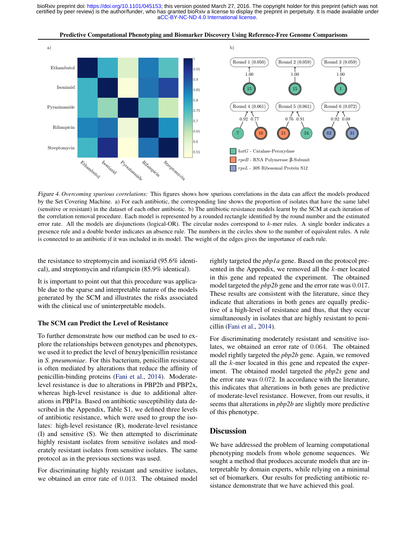<span id="page-7-0"></span>

Predictive Computational Phenotyping and Biomarker Discovery Using Reference-Free Genome Comparisons

Figure 4. *Overcoming spurious correlations:* This figures shows how spurious correlations in the data can affect the models produced by the Set Covering Machine. a) For each antibiotic, the corresponding line shows the proportion of isolates that have the same label (sensitive or resistant) in the dataset of each other antibiotic. b) The antibiotic resistance models learnt by the SCM at each iteration of the correlation removal procedure. Each model is represented by a rounded rectangle identified by the round number and the estimated error rate. All the models are disjunctions (logical-OR). The circular nodes correspond to  $k$ -mer rules. A single border indicates a presence rule and a double border indicates an absence rule. The numbers in the circles show to the number of equivalent rules. A rule is connected to an antibiotic if it was included in its model. The weight of the edges gives the importance of each rule.

the resistance to streptomycin and isoniazid (95.6% identical), and streptomycin and rifampicin (85.9% identical).

It is important to point out that this procedure was applicable due to the sparse and interpretable nature of the models generated by the SCM and illustrates the risks associated with the clinical use of uninterpretable models.

# The SCM can Predict the Level of Resistance

To further demonstrate how our method can be used to explore the relationships between genotypes and phenotypes, we used it to predict the level of benzylpenicillin resistance in *S. pneumoniae*. For this bacterium, penicillin resistance is often mediated by alterations that reduce the affinity of penicillin-binding proteins [\(Fani et al.,](#page-11-0) [2014\)](#page-11-0). Moderatelevel resistance is due to alterations in PBP2b and PBP2x, whereas high-level resistance is due to additional alterations in PBP1a. Based on antibiotic susceptibility data described in the Appendix, Table S1, we defined three levels of antibiotic resistance, which were used to group the isolates: high-level resistance (R), moderate-level resistance (I) and sensitive (S). We then attempted to discriminate highly resistant isolates from sensitive isolates and moderately resistant isolates from sensitive isolates. The same protocol as in the previous sections was used.

For discriminating highly resistant and sensitive isolates, we obtained an error rate of 0.013. The obtained model rightly targeted the *pbp1a* gene. Based on the protocol presented in the Appendix, we removed all the k-mer located in this gene and repeated the experiment. The obtained model targeted the *pbp2b* gene and the error rate was 0.017. These results are consistent with the literature, since they indicate that alterations in both genes are equally predictive of a high-level of resistance and thus, that they occur simultaneously in isolates that are highly resistant to penicillin [\(Fani et al.,](#page-11-0) [2014\)](#page-11-0).

For discriminating moderately resistant and sensitive isolates, we obtained an error rate of 0.064. The obtained model rightly targeted the *pbp2b* gene. Again, we removed all the k-mer located in this gene and repeated the experiment. The obtained model targeted the *pbp2x* gene and the error rate was 0.072. In accordance with the literature, this indicates that alterations in both genes are predictive of moderate-level resistance. However, from our results, it seems that alterations in *pbp2b* are slightly more predictive of this phenotype.

# **Discussion**

We have addressed the problem of learning computational phenotyping models from whole genome sequences. We sought a method that produces accurate models that are interpretable by domain experts, while relying on a minimal set of biomarkers. Our results for predicting antibiotic resistance demonstrate that we have achieved this goal.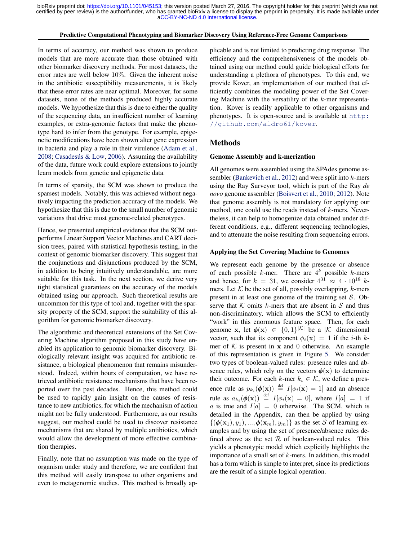#### Predictive Computational Phenotyping and Biomarker Discovery Using Reference-Free Genome Comparisons

In terms of accuracy, our method was shown to produce models that are more accurate than those obtained with other biomarker discovery methods. For most datasets, the error rates are well below 10%. Given the inherent noise in the antibiotic susceptibility measurements, it is likely that these error rates are near optimal. Moreover, for some datasets, none of the methods produced highly accurate models. We hypothesize that this is due to either the quality of the sequencing data, an insufficient number of learning examples, or extra-genomic factors that make the phenotype hard to infer from the genotype. For example, epigenetic modifications have been shown alter gene expression in bacteria and play a role in their virulence [\(Adam et al.,](#page-11-0) [2008;](#page-11-0) Casadesús & Low, [2006\)](#page-11-0). Assuming the availability of the data, future work could explore extensions to jointly learn models from genetic and epigenetic data.

In terms of sparsity, the SCM was shown to produce the sparsest models. Notably, this was achieved without negatively impacting the prediction accuracy of the models. We hypothesize that this is due to the small number of genomic variations that drive most genome-related phenotypes.

Hence, we presented empirical evidence that the SCM outperforms Linear Support Vector Machines and CART decision trees, paired with statistical hypothesis testing, in the context of genomic biomarker discovery. This suggest that the conjunctions and disjunctions produced by the SCM, in addition to being intuitively understandable, are more suitable for this task. In the next section, we derive very tight statistical guarantees on the accuracy of the models obtained using our approach. Such theoretical results are uncommon for this type of tool and, together with the sparsity property of the SCM, support the suitability of this algorithm for genomic biomarker discovery.

The algorithmic and theoretical extensions of the Set Covering Machine algorithm proposed in this study have enabled its application to genomic biomarker discovery. Biologically relevant insight was acquired for antibiotic resistance, a biological phenomenon that remains misunderstood. Indeed, within hours of computation, we have retrieved antibiotic resistance mechanisms that have been reported over the past decades. Hence, this method could be used to rapidly gain insight on the causes of resistance to new antibiotics, for which the mechanism of action might not be fully understood. Furthermore, as our results suggest, our method could be used to discover resistance mechanisms that are shared by multiple antibiotics, which would allow the development of more effective combination therapies.

Finally, note that no assumption was made on the type of organism under study and therefore, we are confident that this method will easily transpose to other organisms and even to metagenomic studies. This method is broadly applicable and is not limited to predicting drug response. The efficiency and the comprehensiveness of the models obtained using our method could guide biological efforts for understanding a plethora of phenotypes. To this end, we provide Kover, an implementation of our method that efficiently combines the modeling power of the Set Covering Machine with the versatility of the  $k$ -mer representation. Kover is readily applicable to other organisms and phenotypes. It is open-source and is available at [http:](http://github.com/aldro61/kover) [//github.com/aldro61/kover](http://github.com/aldro61/kover).

### Methods

### Genome Assembly and k-merization

All genomes were assembled using the SPAdes genome as-sembler [\(Bankevich et al.,](#page-11-0) [2012\)](#page-11-0) and were split into  $k$ -mers using the Ray Surveyor tool, which is part of the Ray *de novo* genome assembler [\(Boisvert et al.,](#page-11-0) [2010;](#page-11-0) [2012\)](#page-11-0). Note that genome assembly is not mandatory for applying our method, one could use the reads instead of k-mers. Nevertheless, it can help to homogenize data obtained under different conditions, e.g., different sequencing technologies, and to attenuate the noise resulting from sequencing errors.

#### Applying the Set Covering Machine to Genomes

We represent each genome by the presence or absence of each possible k-mer. There are  $4^k$  possible k-mers and hence, for  $k = 31$ , we consider  $4^{31} \approx 4 \cdot 10^{18}$  kmers. Let  $K$  be the set of all, possibly overlapping,  $k$ -mers present in at least one genome of the training set  $S$ . Observe that  $K$  omits k-mers that are absent in  $S$  and thus non-discriminatory, which allows the SCM to efficiently "work" in this enormous feature space. Then, for each genome x, let  $\phi(\mathbf{x}) \in \{0,1\}^{|\mathcal{K}|}$  be a  $|\mathcal{K}|$  dimensional vector, such that its component  $\phi_i(\mathbf{x}) = 1$  if the *i*-th *k*mer of  $K$  is present in  $x$  and 0 otherwise. An example of this representation is given in Figure [5.](#page-9-0) We consider two types of boolean-valued rules: presence rules and absence rules, which rely on the vectors  $\phi(\mathbf{x})$  to determine their outcome. For each k-mer  $k_i \in \mathcal{K}$ , we define a presence rule as  $p_{k_i}(\boldsymbol{\phi}(\mathbf{x})) \stackrel{\text{def}}{=} I[\phi_i(\mathbf{x}) = 1]$  and an absence rule as  $a_{k_i}(\boldsymbol{\phi}(\mathbf{x})) \stackrel{\text{def}}{=} I[\phi_i(\mathbf{x}) = 0]$ , where  $I[a] = 1$  if a is true and  $I[a] = 0$  otherwise. The SCM, which is detailed in the Appendix, can then be applied by using  $\{(\boldsymbol{\phi}(\mathbf{x}_1), y_1), ..., \boldsymbol{\phi}(\mathbf{x}_m), y_m)\}\$ as the set S of learning examples and by using the set of presence/absence rules defined above as the set  $R$  of boolean-valued rules. This yields a phenotypic model which explicitly highlights the importance of a small set of  $k$ -mers. In addition, this model has a form which is simple to interpret, since its predictions are the result of a simple logical operation.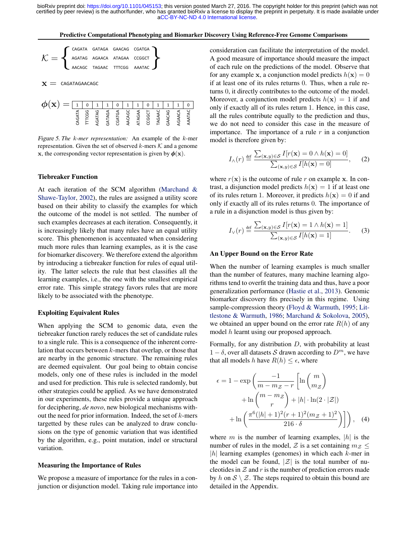<span id="page-9-0"></span>Predictive Computational Phenotyping and Biomarker Discovery Using Reference-Free Genome Comparisons



 $\mathbf{x} =$  CAGATAGAACAGC

| $\phi(\mathbf{x}) =   \mathbf{1}   \mathbf{0}   \mathbf{1}   \mathbf{1}   \mathbf{0}   \mathbf{1}   \mathbf{1}   \mathbf{0}   \mathbf{1}   \mathbf{1}   \mathbf{0}  $ |  |  |  |  |  |  |
|-----------------------------------------------------------------------------------------------------------------------------------------------------------------------|--|--|--|--|--|--|
|                                                                                                                                                                       |  |  |  |  |  |  |

Figure 5. *The* k*-mer representation:* An example of the k-mer representation. Given the set of observed k-mers  $K$  and a genome x, the corresponding vector representation is given by  $\phi(\mathbf{x})$ .

### Tiebreaker Function

At each iteration of the SCM algorithm [\(Marchand &](#page-12-0) [Shawe-Taylor,](#page-12-0) [2002\)](#page-12-0), the rules are assigned a utility score based on their ability to classify the examples for which the outcome of the model is not settled. The number of such examples decreases at each iteration. Consequently, it is increasingly likely that many rules have an equal utility score. This phenomenon is accentuated when considering much more rules than learning examples, as it is the case for biomarker discovery. We therefore extend the algorithm by introducing a tiebreaker function for rules of equal utility. The latter selects the rule that best classifies all the learning examples, i.e., the one with the smallest empirical error rate. This simple strategy favors rules that are more likely to be associated with the phenotype.

### Exploiting Equivalent Rules

When applying the SCM to genomic data, even the tiebreaker function rarely reduces the set of candidate rules to a single rule. This is a consequence of the inherent correlation that occurs between k-mers that overlap, or those that are nearby in the genomic structure. The remaining rules are deemed equivalent. Our goal being to obtain concise models, only one of these rules is included in the model and used for prediction. This rule is selected randomly, but other strategies could be applied. As we have demonstrated in our experiments, these rules provide a unique approach for deciphering, *de novo*, new biological mechanisms without the need for prior information. Indeed, the set of  $k$ -mers targetted by these rules can be analyzed to draw conclusions on the type of genomic variation that was identified by the algorithm, e.g., point mutation, indel or structural variation.

### Measuring the Importance of Rules

We propose a measure of importance for the rules in a conjunction or disjunction model. Taking rule importance into consideration can facilitate the interpretation of the model. A good measure of importance should measure the impact of each rule on the predictions of the model. Observe that for any example x, a conjunction model predicts  $h(x) = 0$ if at least one of its rules returns 0. Thus, when a rule returns 0, it directly contributes to the outcome of the model. Moreover, a conjunction model predicts  $h(\mathbf{x}) = 1$  if and only if exactly all of its rules return 1. Hence, in this case, all the rules contribute equally to the prediction and thus, we do not need to consider this case in the measure of importance. The importance of a rule  $r$  in a conjunction model is therefore given by:

$$
I_{\wedge}(r) \stackrel{\text{def}}{=} \frac{\sum_{(\mathbf{x},y)\in\mathcal{S}} I[r(\mathbf{x}) = 0 \wedge h(\mathbf{x}) = 0]}{\sum_{(\mathbf{x},y)\in\mathcal{S}} I[h(\mathbf{x}) = 0]},\qquad(2)
$$

where  $r(\mathbf{x})$  is the outcome of rule r on example x. In contrast, a disjunction model predicts  $h(\mathbf{x}) = 1$  if at least one of its rules return 1. Moreover, it predicts  $h(\mathbf{x}) = 0$  if and only if exactly all of its rules returns 0. The importance of a rule in a disjunction model is thus given by:

$$
I_{\vee}(r) \stackrel{\text{def}}{=} \frac{\sum_{(\mathbf{x},y)\in\mathcal{S}} I[r(\mathbf{x}) = 1 \land h(\mathbf{x}) = 1]}{\sum_{(\mathbf{x},y)\in\mathcal{S}} I[h(\mathbf{x}) = 1]}.
$$
 (3)

#### An Upper Bound on the Error Rate

When the number of learning examples is much smaller than the number of features, many machine learning algorithms tend to overfit the training data and thus, have a poor generalization performance [\(Hastie et al.,](#page-12-0) [2013\)](#page-12-0). Genomic biomarker discovery fits precisely in this regime. Using sample-compression theory [\(Floyd & Warmuth,](#page-12-0) [1995;](#page-12-0) [Lit](#page-12-0)[tlestone & Warmuth,](#page-12-0) [1986;](#page-12-0) [Marchand & Sokolova,](#page-12-0) [2005\)](#page-12-0), we obtained an upper bound on the error rate  $R(h)$  of any model h learnt using our proposed approach.

Formally, for any distribution D, with probability at least  $1 - \delta$ , over all datasets S drawn according to  $D<sup>m</sup>$ , we have that all models h have  $R(h) \leq \epsilon$ , where

$$
\epsilon = 1 - \exp\left(\frac{-1}{m - m_Z - r} \left[ \ln\left(\frac{m}{m_Z}\right) + \ln\left(\frac{m - m_Z}{r}\right) + |h| \cdot \ln(2 \cdot |\mathcal{Z}|) \right] + \ln\left(\frac{\pi^6(|h| + 1)^2 (r + 1)^2 (m_Z + 1)^2}{216 \cdot \delta}\right) \right), \quad (4)
$$

where m is the number of learning examples,  $|h|$  is the number of rules in the model,  $Z$  is a set containing  $m_Z \leq$  $|h|$  learning examples (genomes) in which each k-mer in the model can be found,  $|\mathcal{Z}|$  is the total number of nucleotides in  $Z$  and  $r$  is the number of prediction errors made by h on  $S \setminus \mathcal{Z}$ . The steps required to obtain this bound are detailed in the Appendix.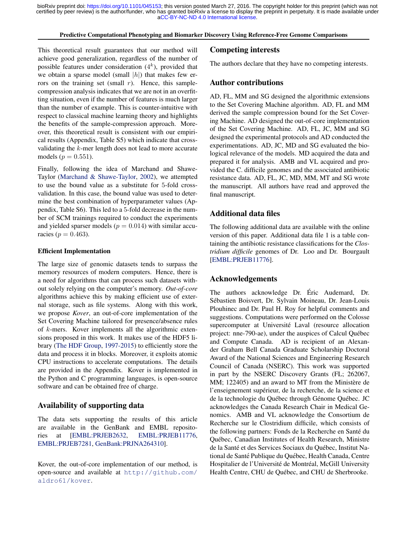### Predictive Computational Phenotyping and Biomarker Discovery Using Reference-Free Genome Comparisons

This theoretical result guarantees that our method will achieve good generalization, regardless of the number of possible features under consideration  $(4<sup>k</sup>)$ , provided that we obtain a sparse model (small  $|h|$ ) that makes few errors on the training set (small  $r$ ). Hence, this samplecompression analysis indicates that we are not in an overfitting situation, even if the number of features is much larger than the number of example. This is counter-intuitive with respect to classical machine learning theory and highlights the benefits of the sample-compression approach. Moreover, this theoretical result is consistent with our empirical results (Appendix, Table S5) which indicate that crossvalidating the k-mer length does not lead to more accurate models ( $p = 0.551$ ).

Finally, following the idea of Marchand and Shawe-Taylor [\(Marchand & Shawe-Taylor,](#page-12-0) [2002\)](#page-12-0), we attempted to use the bound value as a substitute for 5-fold crossvalidation. In this case, the bound value was used to determine the best combination of hyperparameter values (Appendix, Table S6). This led to a 5-fold decrease in the number of SCM trainings required to conduct the experiments and yielded sparser models ( $p = 0.014$ ) with similar accuracies ( $p = 0.463$ ).

### Efficient Implementation

The large size of genomic datasets tends to surpass the memory resources of modern computers. Hence, there is a need for algorithms that can process such datasets without solely relying on the computer's memory. *Out-of-core* algorithms achieve this by making efficient use of external storage, such as file systems. Along with this work, we propose *Kover*, an out-of-core implementation of the Set Covering Machine tailored for presence/absence rules of k-mers. Kover implements all the algorithmic extensions proposed in this work. It makes use of the HDF5 library [\(The HDF Group,](#page-13-0) [1997-2015\)](#page-13-0) to efficiently store the data and process it in blocks. Moreover, it exploits atomic CPU instructions to accelerate computations. The details are provided in the Appendix. Kover is implemented in the Python and C programming languages, is open-source software and can be obtained free of charge.

# Availability of supporting data

The data sets supporting the results of this article are available in the GenBank and EMBL repositories at [\[EMBL:PRJEB2632,](http://www.ebi.ac.uk/ena/data/view/PRJEB2632) [EMBL:PRJEB11776,](http://www.ebi.ac.uk/ena/data/view/PRJEB11776) [EMBL:PRJEB7281,](http://www.ebi.ac.uk/ena/data/view/PRJEB7281) [GenBank:PRJNA264310\]](http://www.ncbi.nlm.nih.gov/bioproject/PRJNA264310).

Kover, the out-of-core implementation of our method, is open-source and available at [http://github.com/](http://github.com/aldro61/kover) [aldro61/kover](http://github.com/aldro61/kover).

### Competing interests

The authors declare that they have no competing interests.

### Author contributions

AD, FL, MM and SG designed the algorithmic extensions to the Set Covering Machine algorithm. AD, FL and MM derived the sample compression bound for the Set Covering Machine. AD designed the out-of-core implementation of the Set Covering Machine. AD, FL, JC, MM and SG designed the experimental protocols and AD conducted the experimentations. AD, JC, MD and SG evaluated the biological relevance of the models. MD acquired the data and prepared it for analysis. AMB and VL acquired and provided the C. difficile genomes and the associated antibiotic resistance data. AD, FL, JC, MD, MM, MT and SG wrote the manuscript. All authors have read and approved the final manuscript.

# Additional data files

The following additional data are available with the online version of this paper. Additional data file 1 is a table containing the antibiotic resistance classifications for the *Clostridium difficile* genomes of Dr. Loo and Dr. Bourgault [\[EMBL:PRJEB11776\]](http://www.ebi.ac.uk/ena/data/view/PRJEB11776).

### Acknowledgements

The authors acknowledge Dr. Eric Audemard, Dr. ´ Sebastien Boisvert, Dr. Sylvain Moineau, Dr. Jean-Louis ´ Plouhinec and Dr. Paul H. Roy for helpful comments and suggestions. Computations were performed on the Colosse supercomputer at Université Laval (resource allocation project: nne-790-ae), under the auspices of Calcul Quebec ´ and Compute Canada. AD is recipient of an Alexander Graham Bell Canada Graduate Scholarship Doctoral Award of the National Sciences and Engineering Research Council of Canada (NSERC). This work was supported in part by the NSERC Discovery Grants (FL; 262067, MM; 122405) and an award to MT from the Ministère de l'enseignement supérieur, de la recherche, de la science et de la technologie du Québec through Génome Québec. JC acknowledges the Canada Research Chair in Medical Genomics. AMB and VL acknowledge the Consortium de Recherche sur le Clostridium difficile, which consists of the following partners: Fonds de la Recherche en Santé du Quebec, Canadian Institutes of Health Research, Ministre ´ de la Santé et des Services Sociaux du Québec, Institut National de Santé Publique du Québec, Health Canada, Centre Hospitalier de l'Université de Montréal, McGill University Health Centre, CHU de Québec, and CHU de Sherbrooke.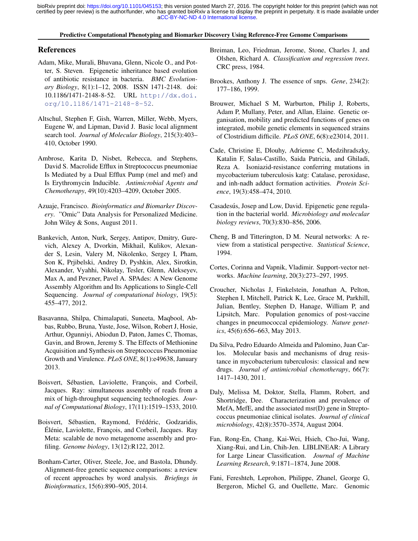### Predictive Computational Phenotyping and Biomarker Discovery Using Reference-Free Genome Comparisons

# <span id="page-11-0"></span>References

- Adam, Mike, Murali, Bhuvana, Glenn, Nicole O., and Potter, S. Steven. Epigenetic inheritance based evolution of antibiotic resistance in bacteria. *BMC Evolutionary Biology*, 8(1):1–12, 2008. ISSN 1471-2148. doi: 10.1186/1471-2148-8-52. URL [http://dx.doi.](http://dx.doi.org/10.1186/1471-2148-8-52) [org/10.1186/1471-2148-8-52](http://dx.doi.org/10.1186/1471-2148-8-52).
- Altschul, Stephen F, Gish, Warren, Miller, Webb, Myers, Eugene W, and Lipman, David J. Basic local alignment search tool. *Journal of Molecular Biology*, 215(3):403– 410, October 1990.
- Ambrose, Karita D, Nisbet, Rebecca, and Stephens, David S. Macrolide Efflux in Streptococcus pneumoniae Is Mediated by a Dual Efflux Pump (mel and mef) and Is Erythromycin Inducible. *Antimicrobial Agents and Chemotherapy*, 49(10):4203–4209, October 2005.
- Azuaje, Francisco. *Bioinformatics and Biomarker Discovery*. "Omic" Data Analysis for Personalized Medicine. John Wiley & Sons, August 2011.
- Bankevich, Anton, Nurk, Sergey, Antipov, Dmitry, Gurevich, Alexey A, Dvorkin, Mikhail, Kulikov, Alexander S, Lesin, Valery M, Nikolenko, Sergey I, Pham, Son K, Prjibelski, Andrey D, Pyshkin, Alex, Sirotkin, Alexander, Vyahhi, Nikolay, Tesler, Glenn, Alekseyev, Max A, and Pevzner, Pavel A. SPAdes: A New Genome Assembly Algorithm and Its Applications to Single-Cell Sequencing. *Journal of computational biology*, 19(5): 455–477, 2012.
- Basavanna, Shilpa, Chimalapati, Suneeta, Maqbool, Abbas, Rubbo, Bruna, Yuste, Jose, Wilson, Robert J, Hosie, Arthur, Ogunniyi, Abiodun D, Paton, James C, Thomas, Gavin, and Brown, Jeremy S. The Effects of Methionine Acquisition and Synthesis on Streptococcus Pneumoniae Growth and Virulence. *PLoS ONE*, 8(1):e49638, January 2013.
- Boisvert, Sébastien, Laviolette, François, and Corbeil, Jacques. Ray: simultaneous assembly of reads from a mix of high-throughput sequencing technologies. *Journal of Computational Biology*, 17(11):1519–1533, 2010.
- Boisvert, Sébastien, Raymond, Frédéric, Godzaridis, Elénie, Laviolette, François, and Corbeil, Jacques. Ray Meta: scalable de novo metagenome assembly and profiling. *Genome biology*, 13(12):R122, 2012.
- Bonham-Carter, Oliver, Steele, Joe, and Bastola, Dhundy. Alignment-free genetic sequence comparisons: a review of recent approaches by word analysis. *Briefings in Bioinformatics*, 15(6):890–905, 2014.
- Breiman, Leo, Friedman, Jerome, Stone, Charles J, and Olshen, Richard A. *Classification and regression trees*. CRC press, 1984.
- Brookes, Anthony J. The essence of snps. *Gene*, 234(2): 177–186, 1999.
- Brouwer, Michael S M, Warburton, Philip J, Roberts, Adam P, Mullany, Peter, and Allan, Elaine. Genetic organisation, mobility and predicted functions of genes on integrated, mobile genetic elements in sequenced strains of Clostridium difficile. *PLoS ONE*, 6(8):e23014, 2011.
- Cade, Christine E, Dlouhy, Adrienne C, Medzihradszky, Katalin F, Salas-Castillo, Saida Patricia, and Ghiladi, Reza A. Isoniazid-resistance conferring mutations in mycobacterium tuberculosis katg: Catalase, peroxidase, and inh-nadh adduct formation activities. *Protein Science*, 19(3):458–474, 2010.
- Casadesús, Josep and Low, David. Epigenetic gene regulation in the bacterial world. *Microbiology and molecular biology reviews*, 70(3):830–856, 2006.
- Cheng, B and Titterington, D M. Neural networks: A review from a statistical perspective. *Statistical Science*, 1994.
- Cortes, Corinna and Vapnik, Vladimir. Support-vector networks. *Machine learning*, 20(3):273–297, 1995.
- Croucher, Nicholas J, Finkelstein, Jonathan A, Pelton, Stephen I, Mitchell, Patrick K, Lee, Grace M, Parkhill, Julian, Bentley, Stephen D, Hanage, William P, and Lipsitch, Marc. Population genomics of post-vaccine changes in pneumococcal epidemiology. *Nature genetics*, 45(6):656–663, May 2013.
- Da Silva, Pedro Eduardo Almeida and Palomino, Juan Carlos. Molecular basis and mechanisms of drug resistance in mycobacterium tuberculosis: classical and new drugs. *Journal of antimicrobial chemotherapy*, 66(7): 1417–1430, 2011.
- Daly, Melissa M, Doktor, Stella, Flamm, Robert, and Shortridge, Dee. Characterization and prevalence of MefA, MefE, and the associated msr(D) gene in Streptococcus pneumoniae clinical isolates. *Journal of clinical microbiology*, 42(8):3570–3574, August 2004.
- Fan, Rong-En, Chang, Kai-Wei, Hsieh, Cho-Jui, Wang, Xiang-Rui, and Lin, Chih-Jen. LIBLINEAR: A Library for Large Linear Classification. *Journal of Machine Learning Research*, 9:1871–1874, June 2008.
- Fani, Fereshteh, Leprohon, Philippe, Zhanel, George G, Bergeron, Michel G, and Ouellette, Marc. Genomic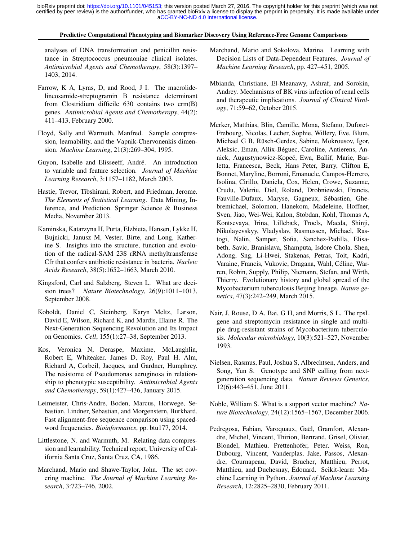### Predictive Computational Phenotyping and Biomarker Discovery Using Reference-Free Genome Comparisons

<span id="page-12-0"></span>analyses of DNA transformation and penicillin resistance in Streptococcus pneumoniae clinical isolates. *Antimicrobial Agents and Chemotherapy*, 58(3):1397– 1403, 2014.

- Farrow, K A, Lyras, D, and Rood, J I. The macrolidelincosamide-streptogramin B resistance determinant from Clostridium difficile 630 contains two erm(B) genes. *Antimicrobial Agents and Chemotherapy*, 44(2): 411–413, February 2000.
- Floyd, Sally and Warmuth, Manfred. Sample compression, learnability, and the Vapnik-Chervonenkis dimension. *Machine Learning*, 21(3):269–304, 1995.
- Guyon, Isabelle and Elisseeff, André. An introduction to variable and feature selection. *Journal of Machine Learning Research*, 3:1157–1182, March 2003.
- Hastie, Trevor, Tibshirani, Robert, and Friedman, Jerome. *The Elements of Statistical Learning*. Data Mining, Inference, and Prediction. Springer Science & Business Media, November 2013.
- Kaminska, Katarzyna H, Purta, Elzbieta, Hansen, Lykke H, Bujnicki, Janusz M, Vester, Birte, and Long, Katherine S. Insights into the structure, function and evolution of the radical-SAM 23S rRNA methyltransferase Cfr that confers antibiotic resistance in bacteria. *Nucleic Acids Research*, 38(5):1652–1663, March 2010.
- Kingsford, Carl and Salzberg, Steven L. What are decision trees? *Nature Biotechnology*, 26(9):1011–1013, September 2008.
- Koboldt, Daniel C, Steinberg, Karyn Meltz, Larson, David E, Wilson, Richard K, and Mardis, Elaine R. The Next-Generation Sequencing Revolution and Its Impact on Genomics. *Cell*, 155(1):27–38, September 2013.
- Kos, Veronica N, Deraspe, Maxime, McLaughlin, Robert E, Whiteaker, James D, Roy, Paul H, Alm, Richard A, Corbeil, Jacques, and Gardner, Humphrey. The resistome of Pseudomonas aeruginosa in relationship to phenotypic susceptibility. *Antimicrobial Agents and Chemotherapy*, 59(1):427–436, January 2015.
- Leimeister, Chris-Andre, Boden, Marcus, Horwege, Sebastian, Lindner, Sebastian, and Morgenstern, Burkhard. Fast alignment-free sequence comparison using spacedword frequencies. *Bioinformatics*, pp. btu177, 2014.
- Littlestone, N. and Warmuth, M. Relating data compression and learnability. Technical report, University of California Santa Cruz, Santa Cruz, CA, 1986.
- Marchand, Mario and Shawe-Taylor, John. The set covering machine. *The Journal of Machine Learning Research*, 3:723–746, 2002.
- Marchand, Mario and Sokolova, Marina. Learning with Decision Lists of Data-Dependent Features. *Journal of Machine Learning Research*, pp. 427–451, 2005.
- Mbianda, Christiane, El-Meanawy, Ashraf, and Sorokin, Andrey. Mechanisms of BK virus infection of renal cells and therapeutic implications. *Journal of Clinical Virology*, 71:59–62, October 2015.
- Merker, Matthias, Blin, Camille, Mona, Stefano, Duforet-Frebourg, Nicolas, Lecher, Sophie, Willery, Eve, Blum, Michael G B, Rüsch-Gerdes, Sabine, Mokrousov, Igor, Aleksic, Eman, Allix-Beguec, Caroline, Antierens, An- ´ nick, Augustynowicz-Kopec, Ewa, Ballif, Marie, Bar- ´ letta, Francesca, Beck, Hans Peter, Barry, Clifton E, Bonnet, Maryline, Borroni, Emanuele, Campos-Herrero, Isolina, Cirillo, Daniela, Cox, Helen, Crowe, Suzanne, Crudu, Valeriu, Diel, Roland, Drobniewski, Francis, Fauville-Dufaux, Maryse, Gagneux, Sebastien, Ghe- ´ bremichael, Solomon, Hanekom, Madeleine, Hoffner, Sven, Jiao, Wei-Wei, Kalon, Stobdan, Kohl, Thomas A, Kontsevaya, Irina, Lillebæk, Troels, Maeda, Shinji, Nikolayevskyy, Vladyslav, Rasmussen, Michael, Rastogi, Nalin, Samper, Sofia, Sanchez-Padilla, Elisabeth, Savic, Branislava, Shamputa, Isdore Chola, Shen, Adong, Sng, Li-Hwei, Stakenas, Petras, Toit, Kadri, Varaine, Francis, Vukovic, Dragana, Wahl, Celine, War- ´ ren, Robin, Supply, Philip, Niemann, Stefan, and Wirth, Thierry. Evolutionary history and global spread of the Mycobacterium tuberculosis Beijing lineage. *Nature genetics*, 47(3):242–249, March 2015.
- Nair, J, Rouse, D A, Bai, G H, and Morris, S L. The rpsL gene and streptomycin resistance in single and multiple drug-resistant strains of Mycobacterium tuberculosis. *Molecular microbiology*, 10(3):521–527, November 1993.
- Nielsen, Rasmus, Paul, Joshua S, Albrechtsen, Anders, and Song, Yun S. Genotype and SNP calling from nextgeneration sequencing data. *Nature Reviews Genetics*, 12(6):443–451, June 2011.
- Noble, William S. What is a support vector machine? *Nature Biotechnology*, 24(12):1565–1567, December 2006.
- Pedregosa, Fabian, Varoquaux, Gaël, Gramfort, Alexandre, Michel, Vincent, Thirion, Bertrand, Grisel, Olivier, Blondel, Mathieu, Prettenhofer, Peter, Weiss, Ron, Dubourg, Vincent, Vanderplas, Jake, Passos, Alexandre, Cournapeau, David, Brucher, Matthieu, Perrot, Matthieu, and Duchesnay, Édouard. Scikit-learn: Machine Learning in Python. *Journal of Machine Learning Research*, 12:2825–2830, February 2011.